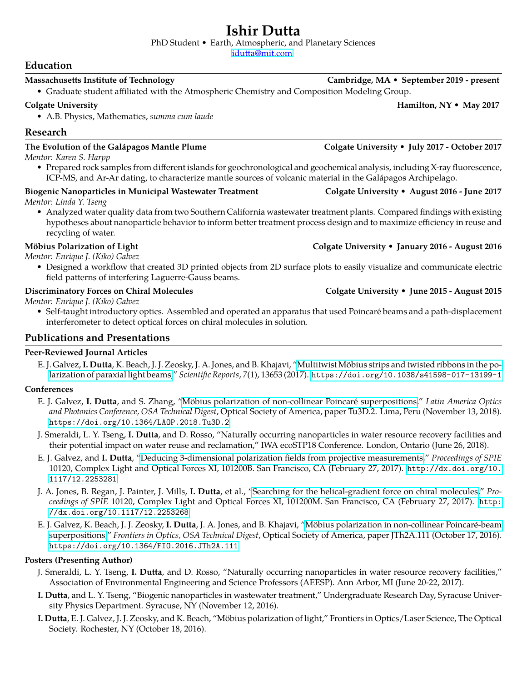# **Ishir Dutta**

PhD Student • Earth, Atmospheric, and Planetary Sciences

[idutta@mit.com](mailto:idutta@mit.com)

# **Education**

### **Massachusetts Institute of Technology Cambridge, MA • September 2019 - present**

• Graduate student affiliated with the Atmospheric Chemistry and Composition Modeling Group.

### **Colgate University Hamilton, NY • May 2017**

• A.B. Physics, Mathematics, *summa cum laude*

# **Research**

### **The Evolution of the Galapagos Mantle Plume Colgate University ´ • July 2017 - October 2017**

*Mentor: Karen S. Harpp*

• Prepared rock samples from different islands for geochronological and geochemical analysis, including X-ray fluorescence, ICP-MS, and Ar-Ar dating, to characterize mantle sources of volcanic material in the Galápagos Archipelago.

# **Biogenic Nanoparticles in Municipal Wastewater Treatment Colgate University • August 2016 - June 2017**

*Mentor: Linda Y. Tseng*

• Analyzed water quality data from two Southern California wastewater treatment plants. Compared findings with existing hypotheses about nanoparticle behavior to inform better treatment process design and to maximize efficiency in reuse and recycling of water.

*Mentor: Enrique J. (Kiko) Galvez*

• Designed a workflow that created 3D printed objects from 2D surface plots to easily visualize and communicate electric field patterns of interfering Laguerre-Gauss beams.

*Mentor: Enrique J. (Kiko) Galvez*

• Self-taught introductory optics. Assembled and operated an apparatus that used Poincaré beams and a path-displacement interferometer to detect optical forces on chiral molecules in solution.

# **Publications and Presentations**

# **Peer-Reviewed Journal Articles**

E. J. Galvez, I. Dutta, K. Beach, J. J. Zeosky, J. A. Jones, and B. Khajavi, "Multitwist Möbius strips and twisted ribbons in the po[larization of paraxial light beams,](https://doi.org/10.1038/s41598-017-13199-1)" *Scientific Reports*, *7*(1), 13653 (2017). <https://doi.org/10.1038/s41598-017-13199-1>

# **Conferences**

- E. J. Galvez, I. Dutta, and S. Zhang, "Möbius polarization of non-collinear Poincaré superpositions," Latin America Optics *and Photonics Conference, OSA Technical Digest*, Optical Society of America, paper Tu3D.2. Lima, Peru (November 13, 2018). <https://doi.org/10.1364/LAOP.2018.Tu3D.2>
- J. Smeraldi, L. Y. Tseng, **I. Dutta**, and D. Rosso, "Naturally occurring nanoparticles in water resource recovery facilities and their potential impact on water reuse and reclamation," IWA ecoSTP18 Conference. London, Ontario (June 26, 2018).
- E. J. Galvez, and **I. Dutta**, ["Deducing 3-dimensional polarization fields from projective measurements,](http://dx.doi.org/10.1117/12.2253281)" *Proceedings of SPIE* 10120, Complex Light and Optical Forces XI, 101200B. San Francisco, CA (February 27, 2017). [http://dx.doi.org/10.](http://dx.doi.org/10.1117/12.2253281) [1117/12.2253281](http://dx.doi.org/10.1117/12.2253281)
- J. A. Jones, B. Regan, J. Painter, J. Mills, **I. Dutta**, et al., ["Searching for the helical-gradient force on chiral molecules,](http://dx.doi.org/10.1117/12.2253268)" *Proceedings of SPIE* 10120, Complex Light and Optical Forces XI, 101200M. San Francisco, CA (February 27, 2017). [http:](http://dx.doi.org/10.1117/12.2253268) [//dx.doi.org/10.1117/12.2253268](http://dx.doi.org/10.1117/12.2253268)
- E. J. Galvez, K. Beach, J. J. Zeosky, I. Dutta, J. A. Jones, and B. Khajavi, "Möbius polarization in non-collinear Poincaré-beam [superpositions,](https://doi.org/10.1364/FIO.2016.JTh2A.111)" *Frontiers in Optics, OSA Technical Digest*, Optical Society of America, paper JTh2A.111 (October 17, 2016). <https://doi.org/10.1364/FIO.2016.JTh2A.111>

### **Posters (Presenting Author)**

- J. Smeraldi, L. Y. Tseng, **I. Dutta**, and D. Rosso, "Naturally occurring nanoparticles in water resource recovery facilities," Association of Environmental Engineering and Science Professors (AEESP). Ann Arbor, MI (June 20-22, 2017).
- **I. Dutta**, and L. Y. Tseng, "Biogenic nanoparticles in wastewater treatment," Undergraduate Research Day, Syracuse University Physics Department. Syracuse, NY (November 12, 2016).
- **I. Dutta**, E. J. Galvez, J. J. Zeosky, and K. Beach, "Mobius polarization of light," Frontiers in Optics/Laser Science, The Optical ¨ Society. Rochester, NY (October 18, 2016).

# **Mobius Polarization of Light Colgate University ¨ • January 2016 - August 2016**

# **Discriminatory Forces on Chiral Molecules Colgate University • June 2015 - August 2015**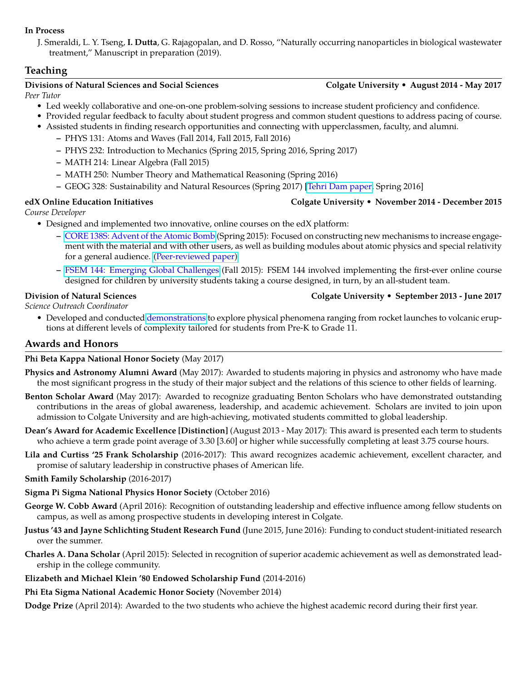### **In Process**

J. Smeraldi, L. Y. Tseng, **I. Dutta**, G. Rajagopalan, and D. Rosso, "Naturally occurring nanoparticles in biological wastewater treatment," Manuscript in preparation (2019).

# **Teaching**

### **Divisions of Natural Sciences and Social Sciences Colgate University • August 2014 - May 2017**

*Peer Tutor*

- Led weekly collaborative and one-on-one problem-solving sessions to increase student proficiency and confidence.
- Provided regular feedback to faculty about student progress and common student questions to address pacing of course.
- Assisted students in finding research opportunities and connecting with upperclassmen, faculty, and alumni.
	- **–** PHYS 131: Atoms and Waves (Fall 2014, Fall 2015, Fall 2016)
	- **–** PHYS 232: Introduction to Mechanics (Spring 2015, Spring 2016, Spring 2017)
	- **–** MATH 214: Linear Algebra (Fall 2015)
	- **–** MATH 250: Number Theory and Mathematical Reasoning (Spring 2016)
	- **–** GEOG 328: Sustainability and Natural Resources (Spring 2017) [\[Tehri Dam paper,](https://pgeproject.wordpress.com/2017/06/21/tehri-dam-in-uttarakhand-india/) Spring 2016]

### **edX Online Education Initiatives Colgate University • November 2014 - December 2015**

*Course Developer*

- Designed and implemented two innovative, online courses on the edX platform:
	- **–** [CORE 138S: Advent of the Atomic Bomb](https://edge.edx.org/courses/ColgateX/CORE138/2015_SP/about) (Spring 2015): Focused on constructing new mechanisms to increase engagement with the material and with other users, as well as building modules about atomic physics and special relativity for a general audience. [\(Peer-reviewed paper\)](http://er.educause.edu/articles/2015/11/engaging-alumni-and-students-using-online-education-technology)
	- **–** [FSEM 144: Emerging Global Challenges](https://edge.edx.org/courses/course-v1:ColgateX+BreadX+2015_Fall/about) (Fall 2015): FSEM 144 involved implementing the first-ever online course designed for children by university students taking a course designed, in turn, by an all-student team.

### **Division of Natural Sciences Colgate University • September 2013 - June 2017**

*Science Outreach Coordinator*

• Developed and conducted [demonstrations](https://www.hotungvislab.org/science-outreach-1) to explore physical phenomena ranging from rocket launches to volcanic eruptions at different levels of complexity tailored for students from Pre-K to Grade 11.

# **Awards and Honors**

### **Phi Beta Kappa National Honor Society** (May 2017)

- **Physics and Astronomy Alumni Award** (May 2017): Awarded to students majoring in physics and astronomy who have made the most significant progress in the study of their major subject and the relations of this science to other fields of learning.
- **Benton Scholar Award** (May 2017): Awarded to recognize graduating Benton Scholars who have demonstrated outstanding contributions in the areas of global awareness, leadership, and academic achievement. Scholars are invited to join upon admission to Colgate University and are high-achieving, motivated students committed to global leadership.
- **Dean's Award for Academic Excellence [Distinction]** (August 2013 May 2017): This award is presented each term to students who achieve a term grade point average of 3.30 [3.60] or higher while successfully completing at least 3.75 course hours.
- **Lila and Curtiss '25 Frank Scholarship** (2016-2017): This award recognizes academic achievement, excellent character, and promise of salutary leadership in constructive phases of American life.

### **Smith Family Scholarship** (2016-2017)

- **Sigma Pi Sigma National Physics Honor Society** (October 2016)
- **George W. Cobb Award** (April 2016): Recognition of outstanding leadership and effective influence among fellow students on campus, as well as among prospective students in developing interest in Colgate.
- **Justus '43 and Jayne Schlichting Student Research Fund** (June 2015, June 2016): Funding to conduct student-initiated research over the summer.
- **Charles A. Dana Scholar** (April 2015): Selected in recognition of superior academic achievement as well as demonstrated leadership in the college community.
- **Elizabeth and Michael Klein '80 Endowed Scholarship Fund** (2014-2016)
- **Phi Eta Sigma National Academic Honor Society** (November 2014)

**Dodge Prize** (April 2014): Awarded to the two students who achieve the highest academic record during their first year.